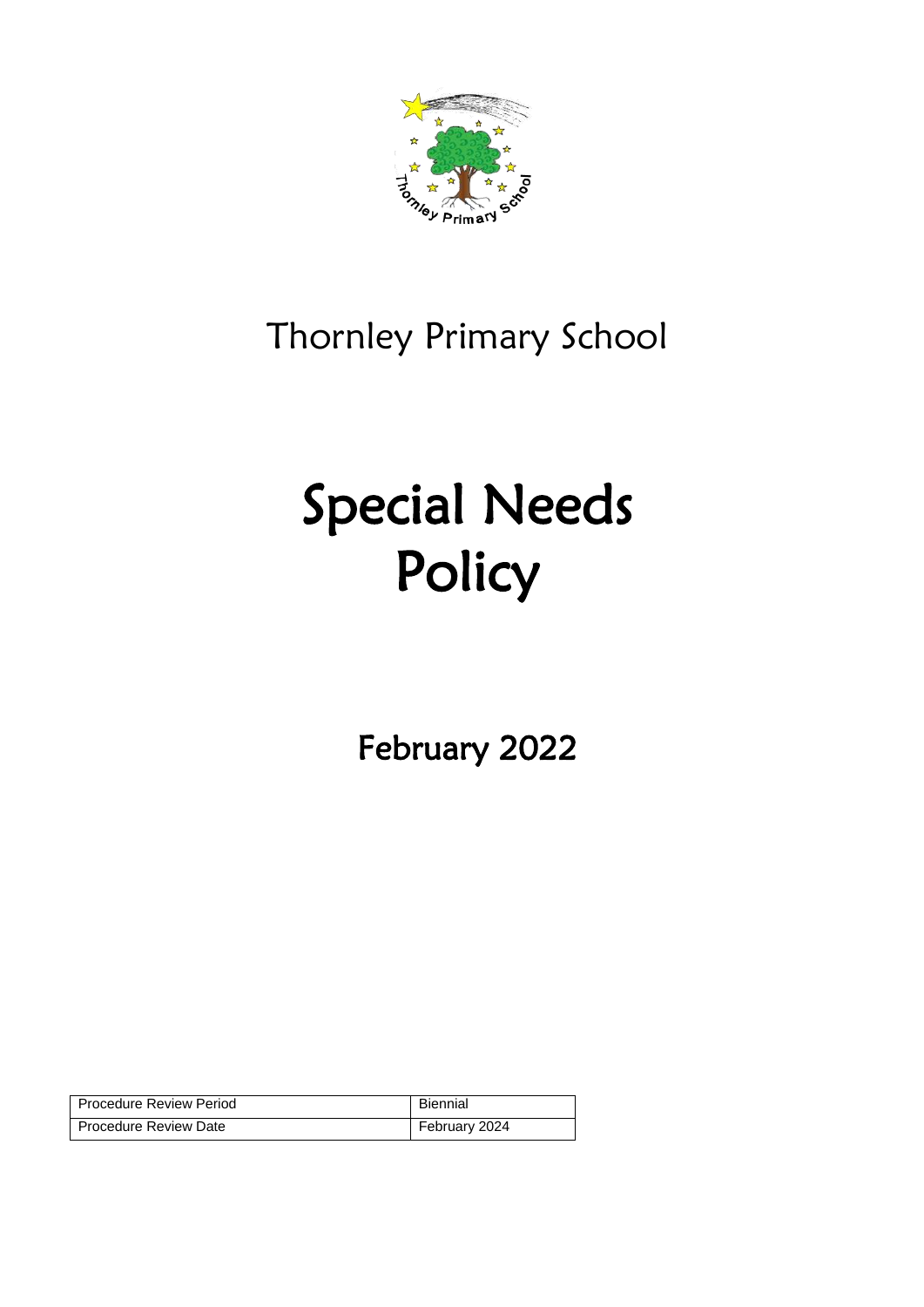

# Thornley Primary School

# Special Needs **Policy**

February 2022

| <b>Procedure Review Period</b> | Biennial      |
|--------------------------------|---------------|
| Procedure Review Date          | February 2024 |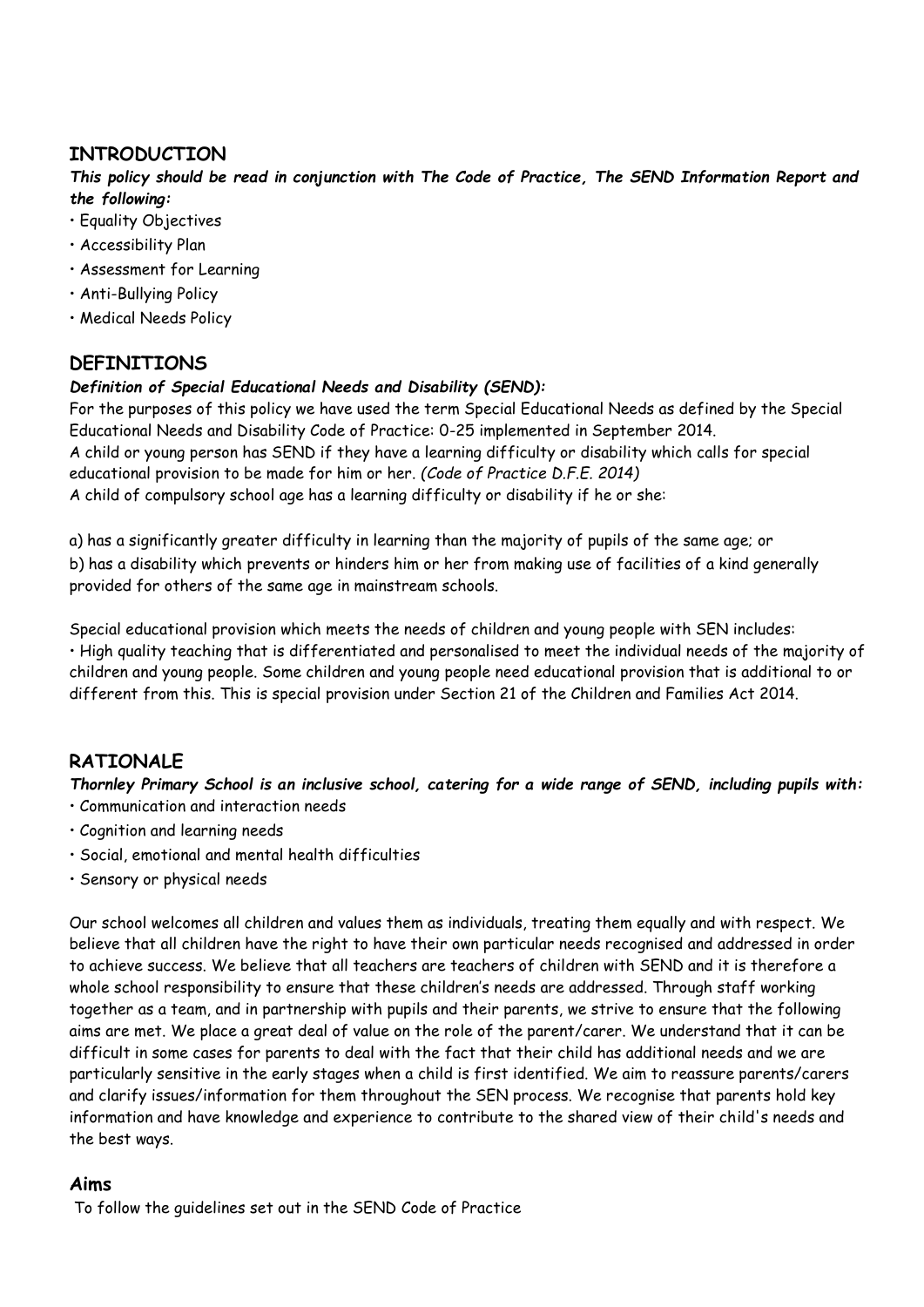# **INTRODUCTION**

*This policy should be read in conjunction with The Code of Practice, The SEND Information Report and the following:* 

- Equality Objectives
- Accessibility Plan
- Assessment for Learning
- Anti-Bullying Policy
- Medical Needs Policy

# **DEFINITIONS**

#### *Definition of Special Educational Needs and Disability (SEND):*

For the purposes of this policy we have used the term Special Educational Needs as defined by the Special Educational Needs and Disability Code of Practice: 0-25 implemented in September 2014. A child or young person has SEND if they have a learning difficulty or disability which calls for special educational provision to be made for him or her. *(Code of Practice D.F.E. 2014)*  A child of compulsory school age has a learning difficulty or disability if he or she:

a) has a significantly greater difficulty in learning than the majority of pupils of the same age; or b) has a disability which prevents or hinders him or her from making use of facilities of a kind generally provided for others of the same age in mainstream schools.

Special educational provision which meets the needs of children and young people with SEN includes: • High quality teaching that is differentiated and personalised to meet the individual needs of the majority of children and young people. Some children and young people need educational provision that is additional to or different from this. This is special provision under Section 21 of the Children and Families Act 2014.

# **RATIONALE**

*Thornley Primary School is an inclusive school, catering for a wide range of SEND, including pupils with:*  • Communication and interaction needs

- Cognition and learning needs
- Social, emotional and mental health difficulties
- Sensory or physical needs

Our school welcomes all children and values them as individuals, treating them equally and with respect. We believe that all children have the right to have their own particular needs recognised and addressed in order to achieve success. We believe that all teachers are teachers of children with SEND and it is therefore a whole school responsibility to ensure that these children's needs are addressed. Through staff working together as a team, and in partnership with pupils and their parents, we strive to ensure that the following aims are met. We place a great deal of value on the role of the parent/carer. We understand that it can be difficult in some cases for parents to deal with the fact that their child has additional needs and we are particularly sensitive in the early stages when a child is first identified. We aim to reassure parents/carers and clarify issues/information for them throughout the SEN process. We recognise that parents hold key information and have knowledge and experience to contribute to the shared view of their child's needs and the best ways.

#### **Aims**

To follow the guidelines set out in the SEND Code of Practice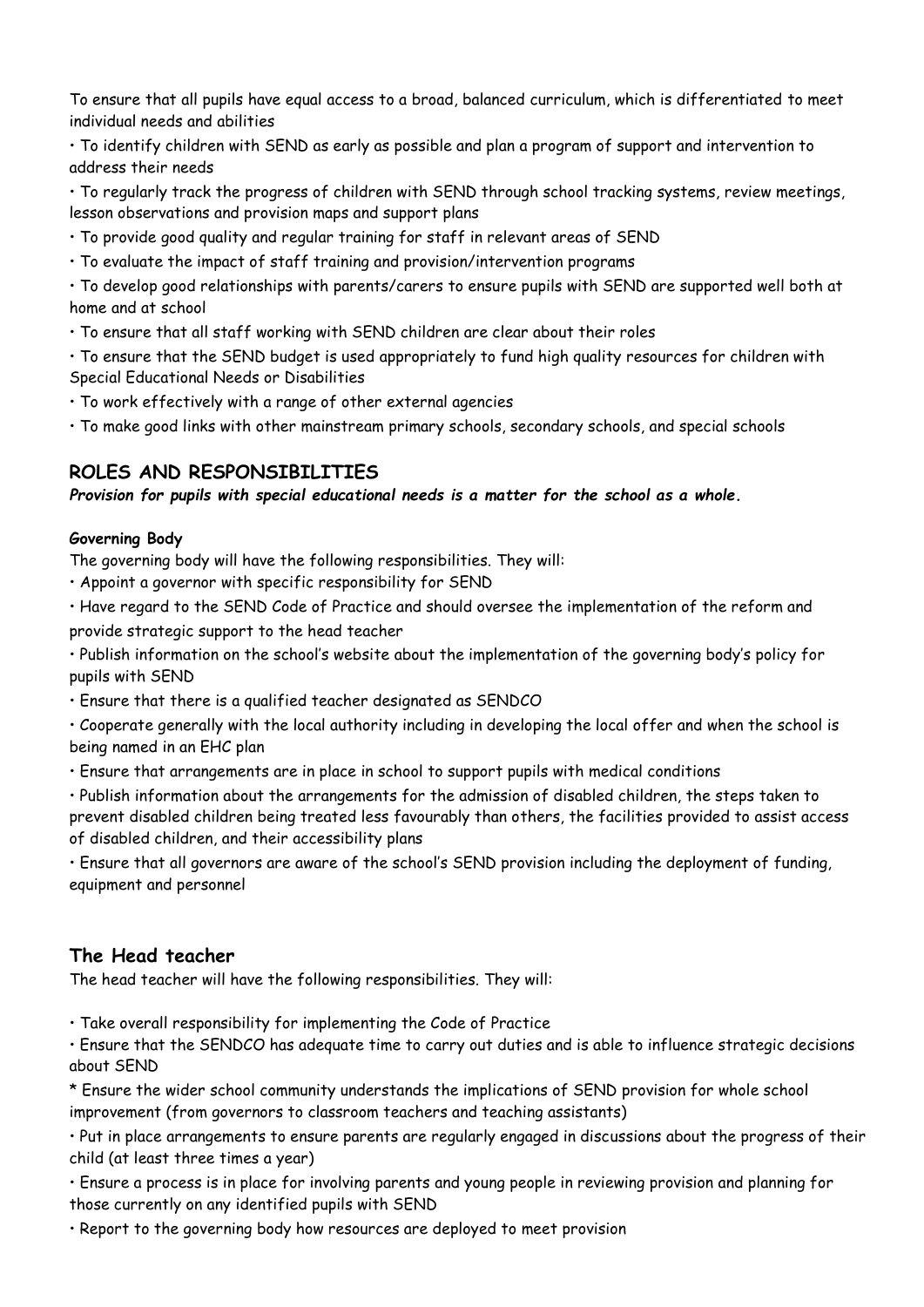To ensure that all pupils have equal access to a broad, balanced curriculum, which is differentiated to meet individual needs and abilities

• To identify children with SEND as early as possible and plan a program of support and intervention to address their needs

• To regularly track the progress of children with SEND through school tracking systems, review meetings, lesson observations and provision maps and support plans

- To provide good quality and regular training for staff in relevant areas of SEND
- To evaluate the impact of staff training and provision/intervention programs

• To develop good relationships with parents/carers to ensure pupils with SEND are supported well both at home and at school

• To ensure that all staff working with SEND children are clear about their roles

• To ensure that the SEND budget is used appropriately to fund high quality resources for children with Special Educational Needs or Disabilities

- To work effectively with a range of other external agencies
- To make good links with other mainstream primary schools, secondary schools, and special schools

# **ROLES AND RESPONSIBILITIES**

#### *Provision for pupils with special educational needs is a matter for the school as a whole.*

#### **Governing Body**

The governing body will have the following responsibilities. They will:

- Appoint a governor with specific responsibility for SEND
- Have regard to the SEND Code of Practice and should oversee the implementation of the reform and provide strategic support to the head teacher

• Publish information on the school's website about the implementation of the governing body's policy for pupils with SEND

• Ensure that there is a qualified teacher designated as SENDCO

• Cooperate generally with the local authority including in developing the local offer and when the school is being named in an EHC plan

• Ensure that arrangements are in place in school to support pupils with medical conditions

• Publish information about the arrangements for the admission of disabled children, the steps taken to

prevent disabled children being treated less favourably than others, the facilities provided to assist access of disabled children, and their accessibility plans

• Ensure that all governors are aware of the school's SEND provision including the deployment of funding, equipment and personnel

# **The Head teacher**

The head teacher will have the following responsibilities. They will:

• Take overall responsibility for implementing the Code of Practice

• Ensure that the SENDCO has adequate time to carry out duties and is able to influence strategic decisions about SEND

\* Ensure the wider school community understands the implications of SEND provision for whole school improvement (from governors to classroom teachers and teaching assistants)

• Put in place arrangements to ensure parents are regularly engaged in discussions about the progress of their child (at least three times a year)

• Ensure a process is in place for involving parents and young people in reviewing provision and planning for those currently on any identified pupils with SEND

• Report to the governing body how resources are deployed to meet provision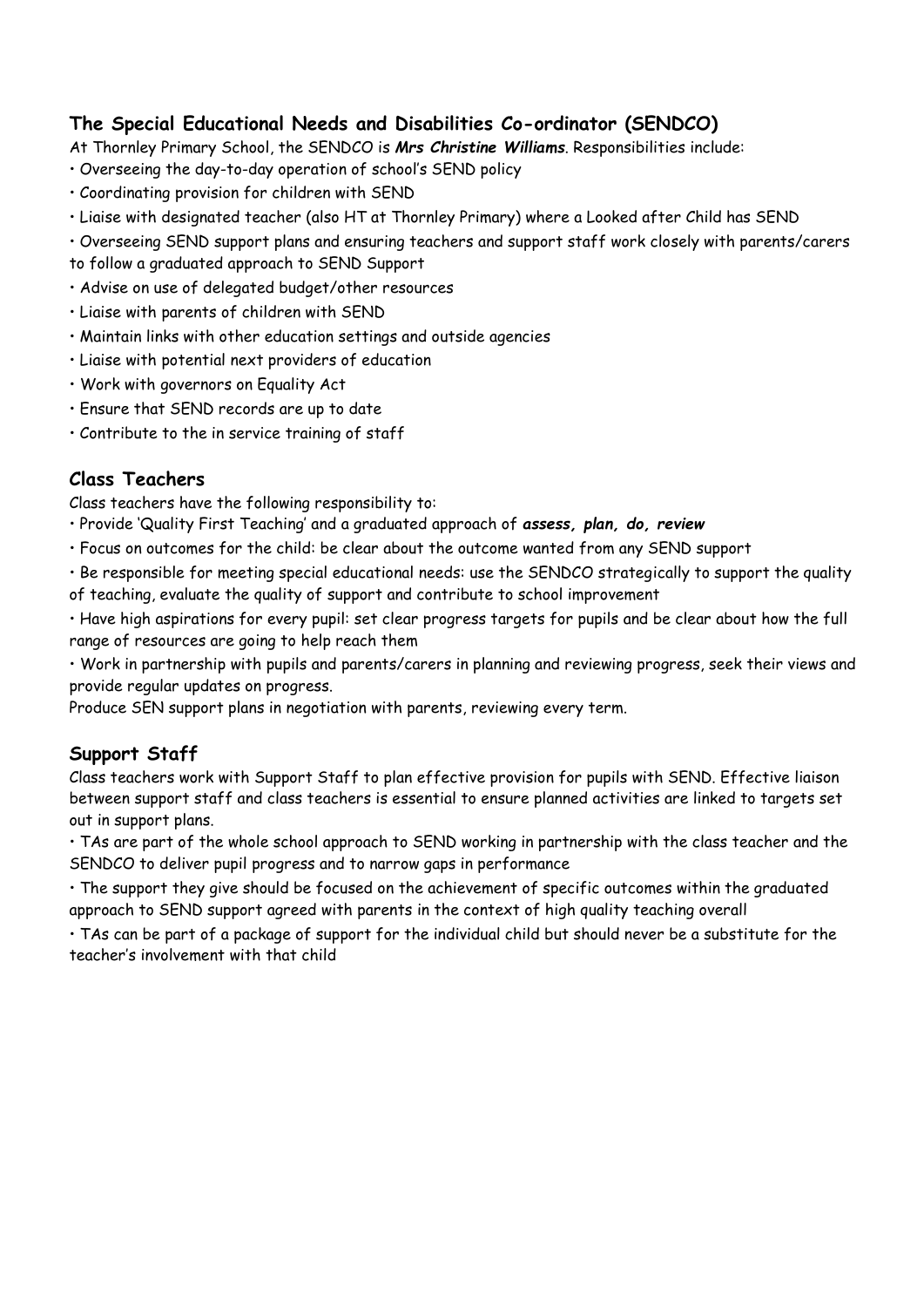# **The Special Educational Needs and Disabilities Co-ordinator (SENDCO)**

At Thornley Primary School, the SENDCO is *Mrs Christine Williams*. Responsibilities include:

- Overseeing the day-to-day operation of school's SEND policy
- Coordinating provision for children with SEND
- Liaise with designated teacher (also HT at Thornley Primary) where a Looked after Child has SEND
- Overseeing SEND support plans and ensuring teachers and support staff work closely with parents/carers
- to follow a graduated approach to SEND Support
- Advise on use of delegated budget/other resources
- Liaise with parents of children with SEND
- Maintain links with other education settings and outside agencies
- Liaise with potential next providers of education
- Work with governors on Equality Act
- Ensure that SEND records are up to date
- Contribute to the in service training of staff

# **Class Teachers**

Class teachers have the following responsibility to:

- Provide 'Quality First Teaching' and a graduated approach of *assess, plan, do, review*
- Focus on outcomes for the child: be clear about the outcome wanted from any SEND support
- Be responsible for meeting special educational needs: use the SENDCO strategically to support the quality of teaching, evaluate the quality of support and contribute to school improvement
- Have high aspirations for every pupil: set clear progress targets for pupils and be clear about how the full range of resources are going to help reach them

• Work in partnership with pupils and parents/carers in planning and reviewing progress, seek their views and provide regular updates on progress.

Produce SEN support plans in negotiation with parents, reviewing every term.

# **Support Staff**

Class teachers work with Support Staff to plan effective provision for pupils with SEND. Effective liaison between support staff and class teachers is essential to ensure planned activities are linked to targets set out in support plans.

• TAs are part of the whole school approach to SEND working in partnership with the class teacher and the SENDCO to deliver pupil progress and to narrow gaps in performance

• The support they give should be focused on the achievement of specific outcomes within the graduated approach to SEND support agreed with parents in the context of high quality teaching overall

• TAs can be part of a package of support for the individual child but should never be a substitute for the teacher's involvement with that child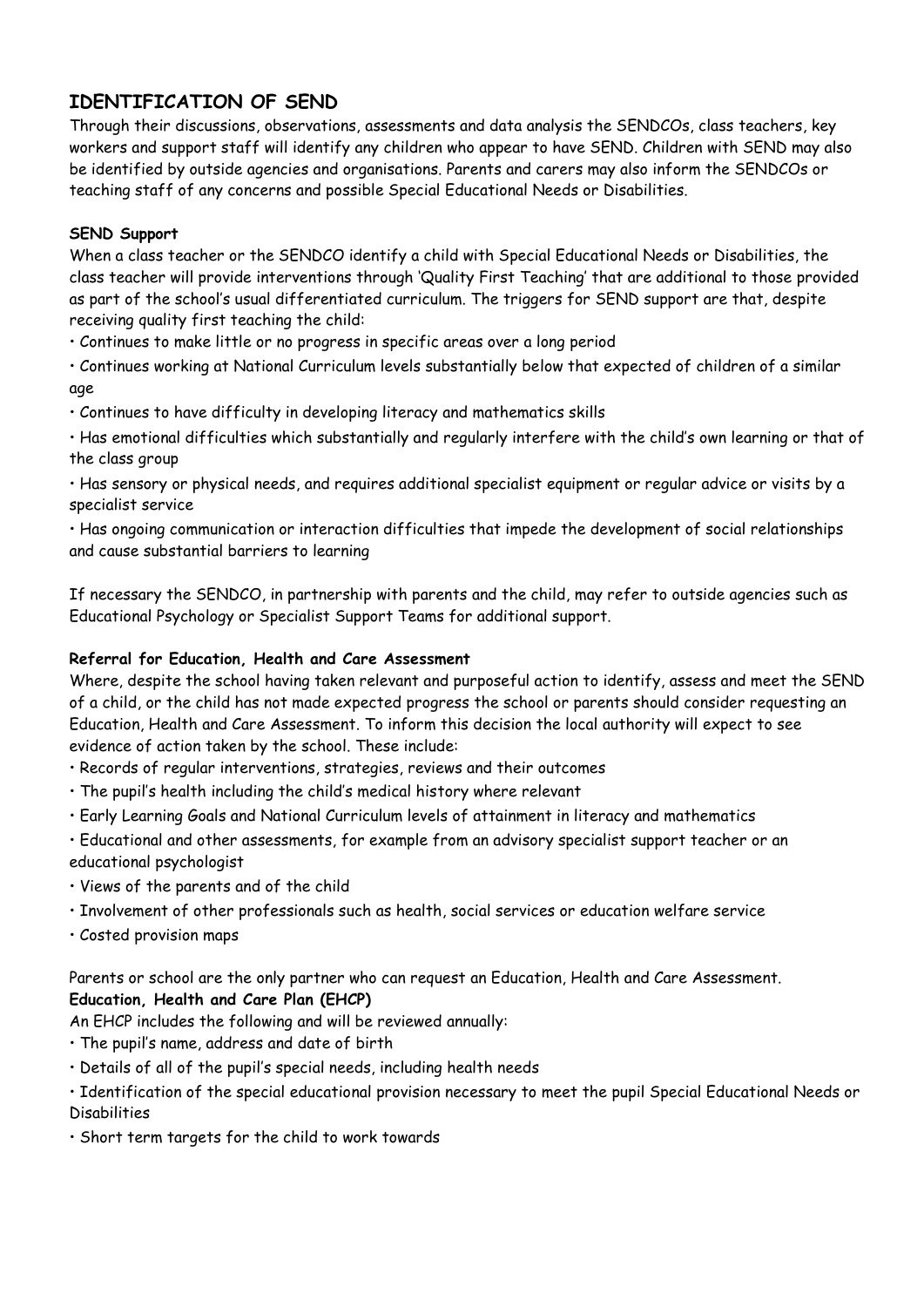# **IDENTIFICATION OF SEND**

Through their discussions, observations, assessments and data analysis the SENDCOs, class teachers, key workers and support staff will identify any children who appear to have SEND. Children with SEND may also be identified by outside agencies and organisations. Parents and carers may also inform the SENDCOs or teaching staff of any concerns and possible Special Educational Needs or Disabilities.

#### **SEND Support**

When a class teacher or the SENDCO identify a child with Special Educational Needs or Disabilities, the class teacher will provide interventions through 'Quality First Teaching' that are additional to those provided as part of the school's usual differentiated curriculum. The triggers for SEND support are that, despite receiving quality first teaching the child:

• Continues to make little or no progress in specific areas over a long period

• Continues working at National Curriculum levels substantially below that expected of children of a similar age

• Continues to have difficulty in developing literacy and mathematics skills

• Has emotional difficulties which substantially and regularly interfere with the child's own learning or that of the class group

• Has sensory or physical needs, and requires additional specialist equipment or regular advice or visits by a specialist service

• Has ongoing communication or interaction difficulties that impede the development of social relationships and cause substantial barriers to learning

If necessary the SENDCO, in partnership with parents and the child, may refer to outside agencies such as Educational Psychology or Specialist Support Teams for additional support.

#### **Referral for Education, Health and Care Assessment**

Where, despite the school having taken relevant and purposeful action to identify, assess and meet the SEND of a child, or the child has not made expected progress the school or parents should consider requesting an Education, Health and Care Assessment. To inform this decision the local authority will expect to see evidence of action taken by the school. These include:

- Records of regular interventions, strategies, reviews and their outcomes
- The pupil's health including the child's medical history where relevant
- Early Learning Goals and National Curriculum levels of attainment in literacy and mathematics

• Educational and other assessments, for example from an advisory specialist support teacher or an educational psychologist

- Views of the parents and of the child
- Involvement of other professionals such as health, social services or education welfare service
- Costed provision maps

Parents or school are the only partner who can request an Education, Health and Care Assessment. **Education, Health and Care Plan (EHCP)** 

An EHCP includes the following and will be reviewed annually:

- The pupil's name, address and date of birth
- Details of all of the pupil's special needs, including health needs

• Identification of the special educational provision necessary to meet the pupil Special Educational Needs or Disabilities

• Short term targets for the child to work towards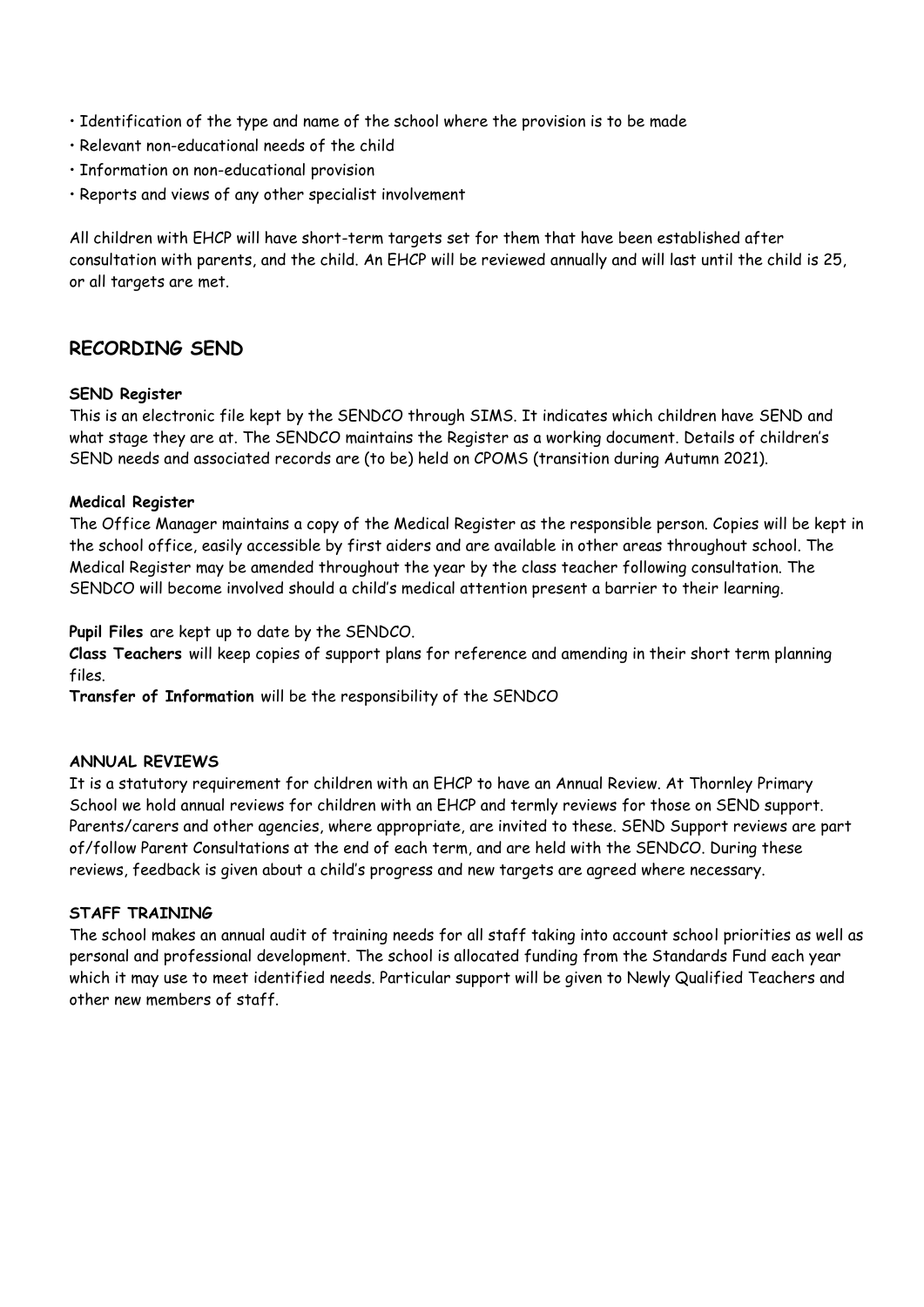- Identification of the type and name of the school where the provision is to be made
- Relevant non-educational needs of the child
- Information on non-educational provision
- Reports and views of any other specialist involvement

All children with EHCP will have short-term targets set for them that have been established after consultation with parents, and the child. An EHCP will be reviewed annually and will last until the child is 25, or all targets are met.

# **RECORDING SEND**

#### **SEND Register**

This is an electronic file kept by the SENDCO through SIMS. It indicates which children have SEND and what stage they are at. The SENDCO maintains the Register as a working document. Details of children's SEND needs and associated records are (to be) held on CPOMS (transition during Autumn 2021).

#### **Medical Register**

The Office Manager maintains a copy of the Medical Register as the responsible person. Copies will be kept in the school office, easily accessible by first aiders and are available in other areas throughout school. The Medical Register may be amended throughout the year by the class teacher following consultation. The SENDCO will become involved should a child's medical attention present a barrier to their learning.

**Pupil Files** are kept up to date by the SENDCO.

**Class Teachers** will keep copies of support plans for reference and amending in their short term planning files.

**Transfer of Information** will be the responsibility of the SENDCO

#### **ANNUAL REVIEWS**

It is a statutory requirement for children with an EHCP to have an Annual Review. At Thornley Primary School we hold annual reviews for children with an EHCP and termly reviews for those on SEND support. Parents/carers and other agencies, where appropriate, are invited to these. SEND Support reviews are part of/follow Parent Consultations at the end of each term, and are held with the SENDCO. During these reviews, feedback is given about a child's progress and new targets are agreed where necessary.

#### **STAFF TRAINING**

The school makes an annual audit of training needs for all staff taking into account school priorities as well as personal and professional development. The school is allocated funding from the Standards Fund each year which it may use to meet identified needs. Particular support will be given to Newly Qualified Teachers and other new members of staff.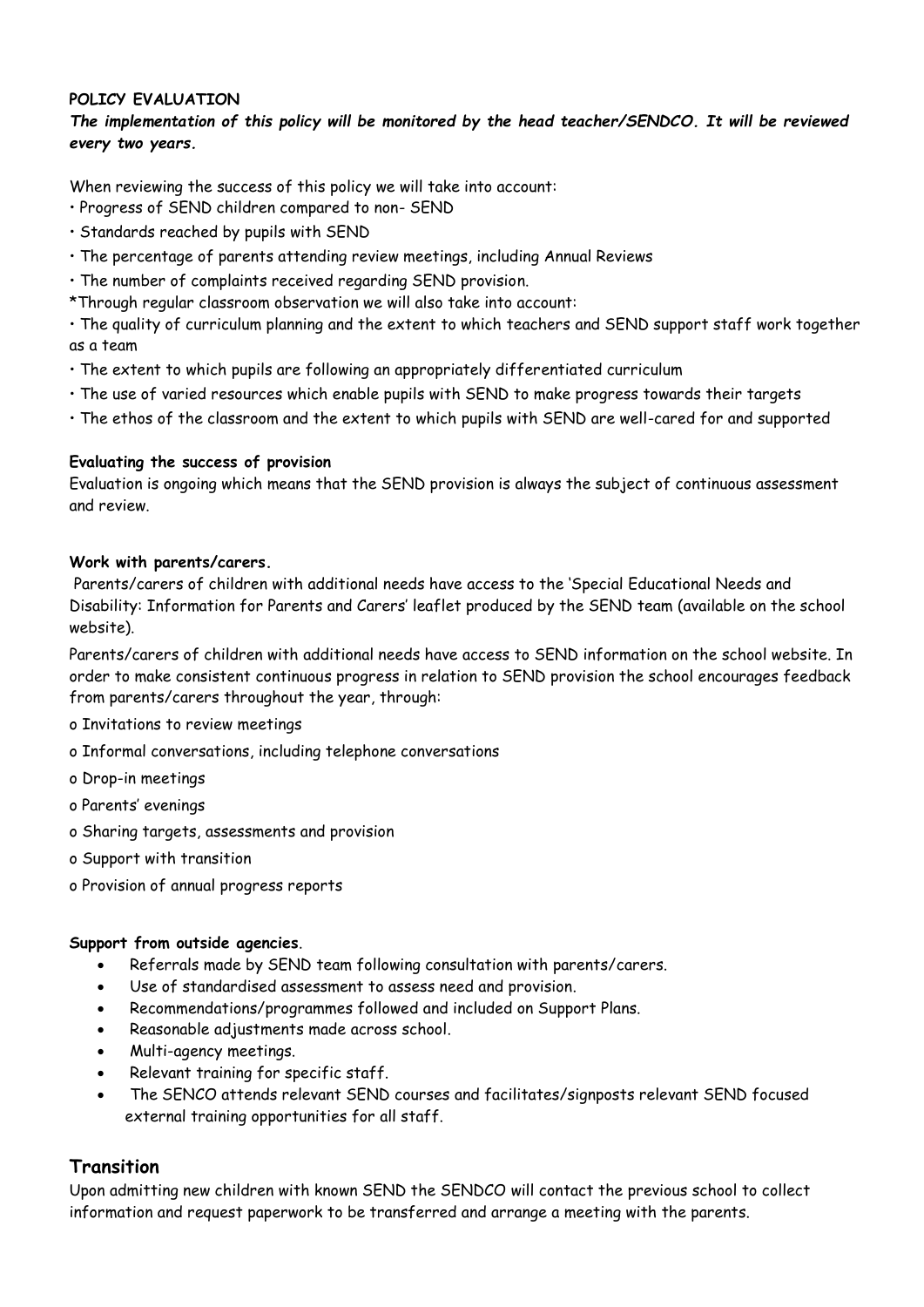#### **POLICY EVALUATION**

#### *The implementation of this policy will be monitored by the head teacher/SENDCO. It will be reviewed every two years.*

When reviewing the success of this policy we will take into account:

- Progress of SEND children compared to non- SEND
- Standards reached by pupils with SEND
- The percentage of parents attending review meetings, including Annual Reviews
- The number of complaints received regarding SEND provision.
- \*Through regular classroom observation we will also take into account:

• The quality of curriculum planning and the extent to which teachers and SEND support staff work together as a team

- The extent to which pupils are following an appropriately differentiated curriculum
- The use of varied resources which enable pupils with SEND to make progress towards their targets
- The ethos of the classroom and the extent to which pupils with SEND are well-cared for and supported

#### **Evaluating the success of provision**

Evaluation is ongoing which means that the SEND provision is always the subject of continuous assessment and review.

#### **Work with parents/carers.**

Parents/carers of children with additional needs have access to the 'Special Educational Needs and Disability: Information for Parents and Carers' leaflet produced by the SEND team (available on the school website).

Parents/carers of children with additional needs have access to SEND information on the school website. In order to make consistent continuous progress in relation to SEND provision the school encourages feedback from parents/carers throughout the year, through:

o Invitations to review meetings

- o Informal conversations, including telephone conversations
- o Drop-in meetings
- o Parents' evenings
- o Sharing targets, assessments and provision
- o Support with transition
- o Provision of annual progress reports

#### **Support from outside agencies**.

- Referrals made by SEND team following consultation with parents/carers.
- Use of standardised assessment to assess need and provision.
- Recommendations/programmes followed and included on Support Plans.
- Reasonable adjustments made across school.
- Multi-agency meetings.
- Relevant training for specific staff.
- The SENCO attends relevant SEND courses and facilitates/signposts relevant SEND focused external training opportunities for all staff.

# **Transition**

Upon admitting new children with known SEND the SENDCO will contact the previous school to collect information and request paperwork to be transferred and arrange a meeting with the parents.